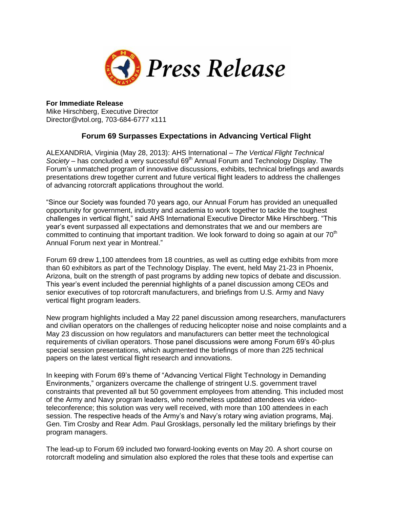

## **For Immediate Release**

Mike Hirschberg, Executive Director Director@vtol.org, 703-684-6777 x111

## **Forum 69 Surpasses Expectations in Advancing Vertical Flight**

ALEXANDRIA, Virginia (May 28, 2013): AHS International – *The Vertical Flight Technical Society* – has concluded a very successful 69<sup>th</sup> Annual Forum and Technology Display. The Forum's unmatched program of innovative discussions, exhibits, technical briefings and awards presentations drew together current and future vertical flight leaders to address the challenges of advancing rotorcraft applications throughout the world.

"Since our Society was founded 70 years ago, our Annual Forum has provided an unequalled opportunity for government, industry and academia to work together to tackle the toughest challenges in vertical flight," said AHS International Executive Director Mike Hirschberg. "This year's event surpassed all expectations and demonstrates that we and our members are committed to continuing that important tradition. We look forward to doing so again at our 70<sup>th</sup> Annual Forum next year in Montreal."

Forum 69 drew 1,100 attendees from 18 countries, as well as cutting edge exhibits from more than 60 exhibitors as part of the Technology Display. The event, held May 21-23 in Phoenix, Arizona, built on the strength of past programs by adding new topics of debate and discussion. This year's event included the perennial highlights of a panel discussion among CEOs and senior executives of top rotorcraft manufacturers, and briefings from U.S. Army and Navy vertical flight program leaders.

New program highlights included a May 22 panel discussion among researchers, manufacturers and civilian operators on the challenges of reducing helicopter noise and noise complaints and a May 23 discussion on how regulators and manufacturers can better meet the technological requirements of civilian operators. Those panel discussions were among Forum 69's 40-plus special session presentations, which augmented the briefings of more than 225 technical papers on the latest vertical flight research and innovations.

In keeping with Forum 69's theme of "Advancing Vertical Flight Technology in Demanding Environments," organizers overcame the challenge of stringent U.S. government travel constraints that prevented all but 50 government employees from attending. This included most of the Army and Navy program leaders, who nonetheless updated attendees via videoteleconference; this solution was very well received, with more than 100 attendees in each session. The respective heads of the Army's and Navy's rotary wing aviation programs, Maj. Gen. Tim Crosby and Rear Adm. Paul Grosklags, personally led the military briefings by their program managers.

The lead-up to Forum 69 included two forward-looking events on May 20. A short course on rotorcraft modeling and simulation also explored the roles that these tools and expertise can